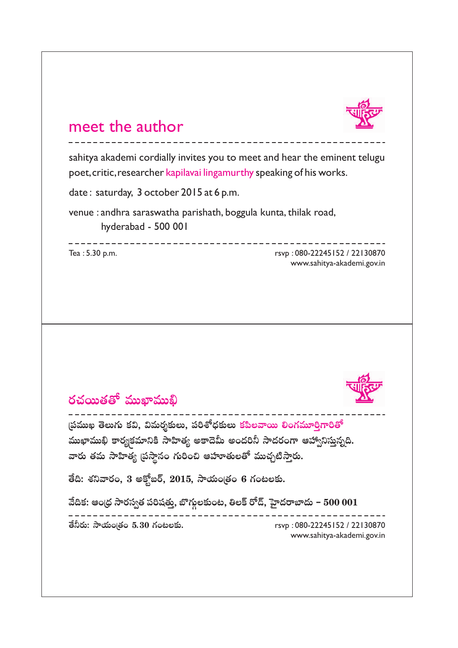

## meet the author

sahitya akademi cordially invites you to meet and hear the eminent telugu poet, critic, researcher kapilavai lingamurthy speaking of his works.

date : saturday, 3 october 2015 at 6 p.m.

venue : andhra saraswatha parishath, boggula kunta, thilak road, hyderabad - 500 001

------------

Tea : 5.30 p.m.

rsvp : 080-22245152 / 22130870 www.sahitya-akademi.gov.in

کا کا کا کا کا کا کا ک



## **~ °K«~ Ú `«` À = ÚÏ = Ú<u>ಲಿ</u>**

ముఖాముఖి కా **" Ñ ¨= Ú Y ` ≥Å ∞Q Æ∞ Hõq ,<sup>M</sup> q = ∞~ °≈‰ õΩÅ∞,Ѩiâ'^茉õΩÅ∞ HõÑ≤Å"å~ÚeOQÆ=¸iÎQÍi`À** ముఖాముఖి కార్యక్రమానికి సాహిత్య అకాదెమీ అందరినీ సాదరంగా ఆహ్వానిస్తున్నది.<br>వారు తమ సాహిత్య (పస్థానం గురించి ఆహూతులతో ముచ్చటిస్తారు.

తేది: శనివారం, 3 అక్టోబర్, 2015, సాయంత్రం 6 గంటలకు.

వేదిక: ఆంధ్ర సారస్వత పరిషత్తు, బొగ్గలకుంట, తిలక్ రోద్, హైదరాబాదు – 500 001 **æ**

rsvp : 080-22245152 / 22130870 **` Õh~°∞:™êÜ«∞O"`«O5.30QÆO@'nõΩ.**www.sahitya-akademi.gov.in